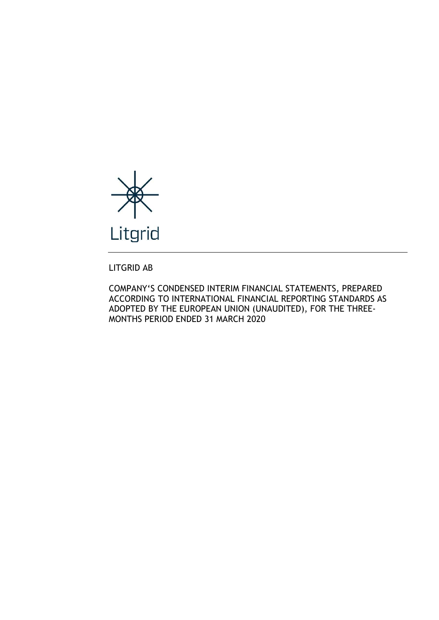

LITGRID AB

COMPANY'S CONDENSED INTERIM FINANCIAL STATEMENTS, PREPARED ACCORDING TO INTERNATIONAL FINANCIAL REPORTING STANDARDS AS ADOPTED BY THE EUROPEAN UNION (UNAUDITED), FOR THE THREE-MONTHS PERIOD ENDED 31 MARCH 2020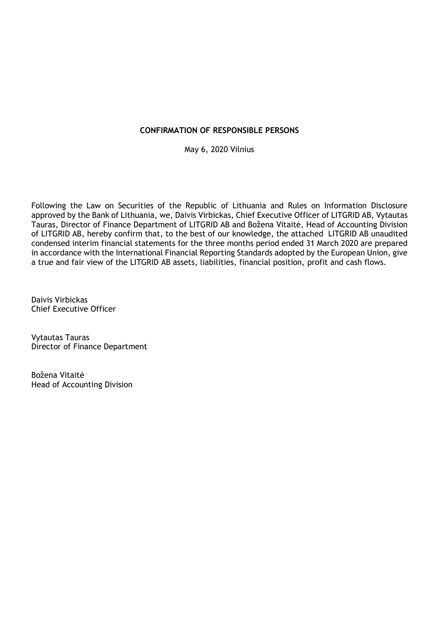# CONFIRMATION OF RESPONSIBLE PERSONS

May 6, 2020 Vilnius

Following the Law on Securities of the Republic of Lithuania and Rules on Information Disclosure approved by the Bank of Lithuania, we, Daivis Virbickas, Chief Executive Officer of LITGRID AB, Vytautas Tauras, Director of Finance Department of LITGRID AB and Božena Vitaitė, Head of Accounting Division of LITGRID AB, hereby confirm that, to the best of our knowledge, the attached LITGRID AB unaudited condensed interim financial statements for the three months period ended 31 March 2020 are prepared in accordance with the International Financial Reporting Standards adopted by the European Union, give a true and fair view of the LITGRID AB assets, liabilities, financial position, profit and cash flows.

Daivis Virbickas Chief Executive Officer

Vytautas Tauras Director of Finance Department

Božena Vitaitė Head of Accounting Division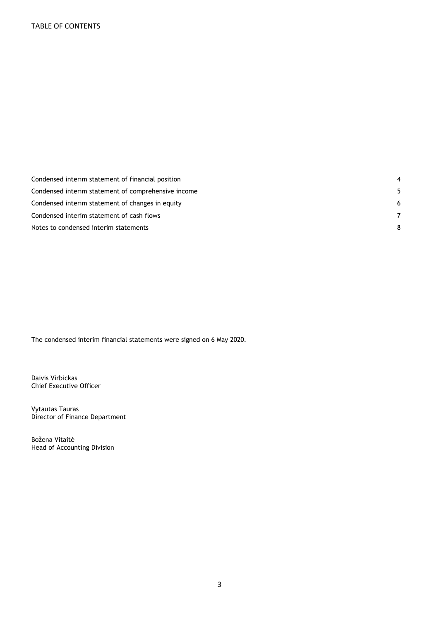| Condensed interim statement of financial position   |    |
|-----------------------------------------------------|----|
| Condensed interim statement of comprehensive income | 5. |
| Condensed interim statement of changes in equity    | -6 |
| Condensed interim statement of cash flows           | 7  |
| Notes to condensed interim statements               | 8  |

The condensed interim financial statements were signed on 6 May 2020.

Daivis Virbickas Chief Executive Officer

Vytautas Tauras Director of Finance Department

Božena Vitaitė Head of Accounting Division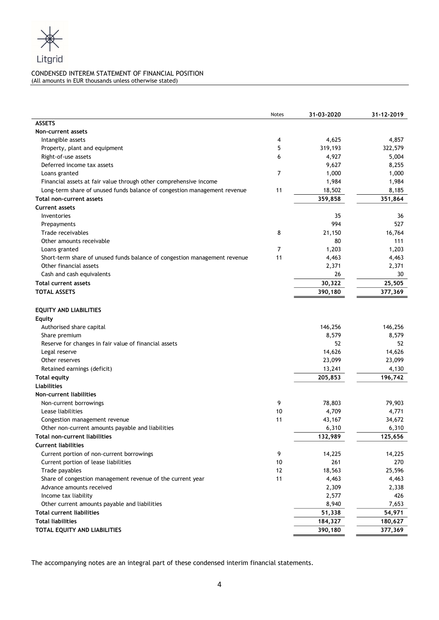

# CONDENSED INTEREM STATEMENT OF FINANCIAL POSITION

(All amounts in EUR thousands unless otherwise stated)

|                                                                           | Notes | 31-03-2020 | 31-12-2019 |
|---------------------------------------------------------------------------|-------|------------|------------|
| <b>ASSETS</b>                                                             |       |            |            |
| Non-current assets                                                        |       |            |            |
| Intangible assets                                                         | 4     | 4,625      | 4,857      |
| Property, plant and equipment                                             | 5     | 319,193    | 322,579    |
| Right-of-use assets                                                       | 6     | 4,927      | 5,004      |
| Deferred income tax assets                                                |       | 9,627      | 8,255      |
| Loans granted                                                             | 7     | 1,000      | 1,000      |
| Financial assets at fair value through other comprehensive income         |       | 1,984      | 1,984      |
| Long-term share of unused funds balance of congestion management revenue  | 11    | 18,502     | 8,185      |
| Total non-current assets                                                  |       | 359,858    | 351,864    |
| <b>Current assets</b>                                                     |       |            |            |
| Inventories                                                               |       | 35         | 36         |
| Prepayments                                                               |       | 994        | 527        |
| Trade receivables                                                         | 8     | 21,150     | 16,764     |
| Other amounts receivable                                                  |       | 80         | 111        |
| Loans granted                                                             | 7     | 1,203      | 1,203      |
| Short-term share of unused funds balance of congestion management revenue | 11    | 4,463      | 4,463      |
| Other financial assets                                                    |       | 2,371      | 2,371      |
| Cash and cash equivalents                                                 |       | 26         | 30         |
| <b>Total current assets</b>                                               |       | 30,322     | 25,505     |
| <b>TOTAL ASSETS</b>                                                       |       | 390,180    | 377,369    |
| <b>EQUITY AND LIABILITIES</b><br><b>Equity</b>                            |       |            |            |
| Authorised share capital                                                  |       | 146,256    | 146,256    |
| Share premium                                                             |       | 8,579      | 8,579      |
| Reserve for changes in fair value of financial assets                     |       | 52         | 52         |
| Legal reserve                                                             |       | 14,626     | 14,626     |
| Other reserves                                                            |       | 23,099     | 23,099     |
| Retained earnings (deficit)                                               |       | 13,241     | 4,130      |
| <b>Total equity</b>                                                       |       | 205,853    | 196,742    |
| <b>Liabilities</b>                                                        |       |            |            |
| Non-current liabilities                                                   |       |            |            |
| Non-current borrowings                                                    | 9     | 78,803     | 79,903     |
| Lease liabilities                                                         | 10    | 4,709      | 4,771      |
| Congestion management revenue                                             | 11    | 43,167     | 34,672     |
| Other non-current amounts payable and liabilities                         |       | 6,310      | 6,310      |
| Total non-current liabilities                                             |       | 132,989    | 125,656    |
| <b>Current liabilities</b>                                                |       |            |            |
| Current portion of non-current borrowings                                 | 9     | 14,225     | 14,225     |
| Current portion of lease liabilities                                      | 10    | 261        | 270        |
| Trade payables                                                            | 12    | 18,563     | 25,596     |
| Share of congestion management revenue of the current year                | 11    | 4,463      | 4,463      |
| Advance amounts received                                                  |       | 2,309      | 2,338      |
| Income tax liability                                                      |       | 2,577      | 426        |
| Other current amounts payable and liabilities                             |       | 8,940      | 7,653      |
| <b>Total current liabilities</b>                                          |       | 51,338     | 54,971     |
| <b>Total liabilities</b>                                                  |       | 184,327    | 180,627    |
| TOTAL EQUITY AND LIABILITIES                                              |       | 390,180    | 377,369    |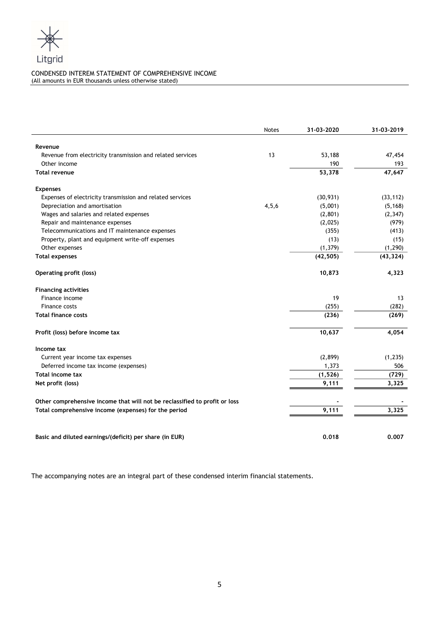

# CONDENSED INTEREM STATEMENT OF COMPREHENSIVE INCOME (All amounts in EUR thousands unless otherwise stated)

|                                                                            | <b>Notes</b> | 31-03-2020 | 31-03-2019 |
|----------------------------------------------------------------------------|--------------|------------|------------|
| Revenue                                                                    |              |            |            |
| Revenue from electricity transmission and related services                 | 13           | 53,188     | 47,454     |
| Other income                                                               |              | 190        | 193        |
| <b>Total revenue</b>                                                       |              | 53,378     | 47,647     |
| <b>Expenses</b>                                                            |              |            |            |
| Expenses of electricity transmission and related services                  |              | (30, 931)  | (33, 112)  |
| Depreciation and amortisation                                              | 4, 5, 6      | (5,001)    | (5, 168)   |
| Wages and salaries and related expenses                                    |              | (2,801)    | (2, 347)   |
| Repair and maintenance expenses                                            |              | (2,025)    | (979)      |
| Telecommunications and IT maintenance expenses                             |              | (355)      | (413)      |
| Property, plant and equipment write-off expenses                           |              | (13)       | (15)       |
| Other expenses                                                             |              | (1, 379)   | (1, 290)   |
| <b>Total expenses</b>                                                      |              | (42, 505)  | (43, 324)  |
| <b>Operating profit (loss)</b>                                             |              | 10,873     | 4,323      |
| <b>Financing activities</b>                                                |              |            |            |
| Finance income                                                             |              | 19         | 13         |
| Finance costs                                                              |              | (255)      | (282)      |
| <b>Total finance costs</b>                                                 |              | (236)      | (269)      |
| Profit (loss) before income tax                                            |              | 10,637     | 4,054      |
| Income tax                                                                 |              |            |            |
| Current year income tax expenses                                           |              | (2,899)    | (1, 235)   |
| Deferred income tax income (expenses)                                      |              | 1,373      | 506        |
| <b>Total income tax</b>                                                    |              | (1, 526)   | (729)      |
| Net profit (loss)                                                          |              | 9,111      | 3,325      |
| Other comprehensive income that will not be reclassified to profit or loss |              |            |            |
| Total comprehensive income (expenses) for the period                       |              | 9,111      | 3,325      |
|                                                                            |              |            |            |
| Basic and diluted earnings/(deficit) per share (in EUR)                    |              | 0.018      | 0.007      |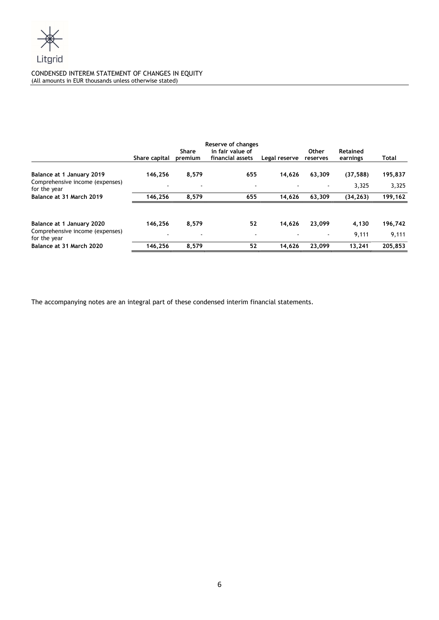

# CONDENSED INTEREM STATEMENT OF CHANGES IN EQUITY (All amounts in EUR thousands unless otherwise stated)

|                                                 | Share capital | Share<br>premium | Reserve of changes<br>in fair value of<br>financial assets | Legal reserve | Other<br>reserves | Retained<br>earnings | Total   |
|-------------------------------------------------|---------------|------------------|------------------------------------------------------------|---------------|-------------------|----------------------|---------|
| Balance at 1 January 2019                       | 146,256       | 8,579            | 655                                                        | 14,626        | 63,309            | (37, 588)            | 195,837 |
| Comprehensive income (expenses)<br>for the year |               |                  | $\blacksquare$                                             |               |                   | 3.325                | 3,325   |
| Balance at 31 March 2019                        | 146,256       | 8.579            | 655                                                        | 14.626        | 63,309            | (34, 263)            | 199,162 |
| Balance at 1 January 2020                       | 146.256       | 8,579            | 52                                                         | 14.626        | 23.099            | 4,130                | 196,742 |
| Comprehensive income (expenses)<br>for the year |               |                  | $\blacksquare$                                             |               |                   | 9,111                | 9,111   |
| Balance at 31 March 2020                        | 146.256       | 8.579            | 52                                                         | 14.626        | 23.099            | 13.241               | 205.853 |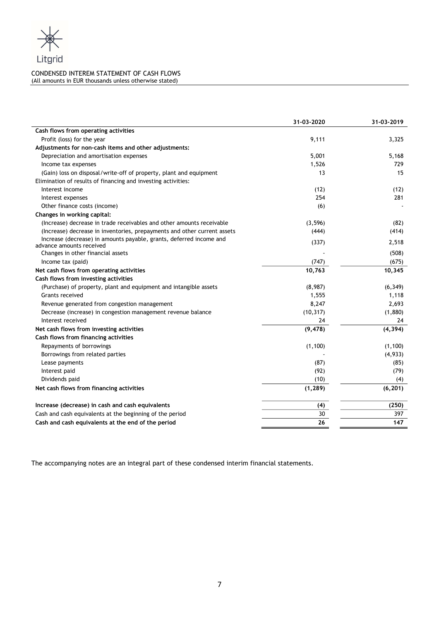

# CONDENSED INTEREM STATEMENT OF CASH FLOWS (All amounts in EUR thousands unless otherwise stated)

|                                                                          | 31-03-2020 | 31-03-2019 |
|--------------------------------------------------------------------------|------------|------------|
| Cash flows from operating activities                                     |            |            |
| Profit (loss) for the year                                               | 9,111      | 3,325      |
| Adjustments for non-cash items and other adjustments:                    |            |            |
| Depreciation and amortisation expenses                                   | 5,001      | 5,168      |
| Income tax expenses                                                      | 1,526      | 729        |
| (Gain) loss on disposal/write-off of property, plant and equipment       | 13         | 15         |
| Elimination of results of financing and investing activities:            |            |            |
| Interest income                                                          | (12)       | (12)       |
| Interest expenses                                                        | 254        | 281        |
| Other finance costs (income)                                             | (6)        |            |
| Changes in working capital:                                              |            |            |
| (Increase) decrease in trade receivables and other amounts receivable    | (3, 596)   | (82)       |
| (Increase) decrease in inventories, prepayments and other current assets | (444)      | (414)      |
| Increase (decrease) in amounts payable, grants, deferred income and      | (337)      | 2,518      |
| advance amounts received                                                 |            |            |
| Changes in other financial assets                                        |            | (508)      |
| Income tax (paid)                                                        | (747)      | (675)      |
| Net cash flows from operating activities                                 | 10,763     | 10,345     |
| Cash flows from investing activities                                     |            |            |
| (Purchase) of property, plant and equipment and intangible assets        | (8,987)    | (6, 349)   |
| <b>Grants received</b>                                                   | 1,555      | 1,118      |
| Revenue generated from congestion management                             | 8,247      | 2,693      |
| Decrease (increase) in congestion management revenue balance             | (10, 317)  | (1,880)    |
| Interest received                                                        | 24         | 24         |
| Net cash flows from investing activities                                 | (9, 478)   | (4, 394)   |
| Cash flows from financing activities                                     |            |            |
| Repayments of borrowings                                                 | (1, 100)   | (1,100)    |
| Borrowings from related parties                                          |            | (4,933)    |
| Lease payments                                                           | (87)       | (85)       |
| Interest paid                                                            | (92)       | (79)       |
| Dividends paid                                                           | (10)       | (4)        |
| Net cash flows from financing activities                                 | (1, 289)   | (6, 201)   |
| Increase (decrease) in cash and cash equivalents                         | (4)        | (250)      |
| Cash and cash equivalents at the beginning of the period                 | 30         | 397        |
| Cash and cash equivalents at the end of the period                       | 26         | 147        |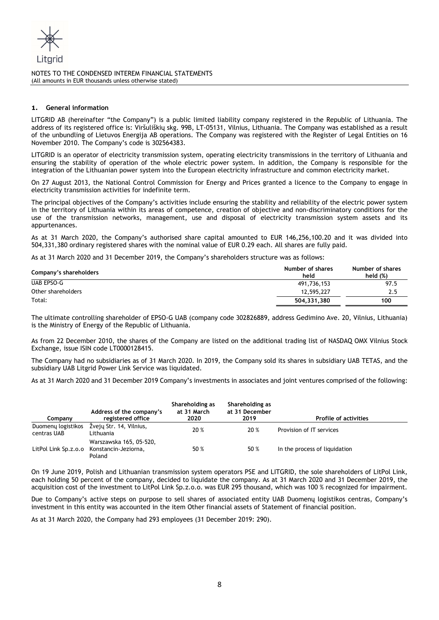

# 1. General information

LITGRID AB (hereinafter "the Company") is a public limited liability company registered in the Republic of Lithuania. The address of its registered office is: Viršuliškių skg. 99B, LT-05131, Vilnius, Lithuania. The Company was established as a result of the unbundling of Lietuvos Energija AB operations. The Company was registered with the Register of Legal Entities on 16 November 2010. The Company's code is 302564383.

LITGRID is an operator of electricity transmission system, operating electricity transmissions in the territory of Lithuania and ensuring the stability of operation of the whole electric power system. In addition, the Company is responsible for the integration of the Lithuanian power system into the European electricity infrastructure and common electricity market.

On 27 August 2013, the National Control Commission for Energy and Prices granted a licence to the Company to engage in electricity transmission activities for indefinite term.

The principal objectives of the Company's activities include ensuring the stability and reliability of the electric power system in the territory of Lithuania within its areas of competence, creation of objective and non-discriminatory conditions for the use of the transmission networks, management, use and disposal of electricity transmission system assets and its appurtenances.

As at 31 March 2020, the Company's authorised share capital amounted to EUR 146,256,100.20 and it was divided into 504,331,380 ordinary registered shares with the nominal value of EUR 0.29 each. All shares are fully paid.

As at 31 March 2020 and 31 December 2019, the Company's shareholders structure was as follows:

| Company's shareholders | Number of shares<br>held | Number of shares<br>held $(\%)$ |
|------------------------|--------------------------|---------------------------------|
| UAB EPSO-G             | 491,736,153              | 97.5                            |
| Other shareholders     | 12,595,227               | 2.5                             |
| Total:                 | 504.331.380              | 100                             |

The ultimate controlling shareholder of EPSO-G UAB (company code 302826889, address Gedimino Ave. 20, Vilnius, Lithuania) is the Ministry of Energy of the Republic of Lithuania.

As from 22 December 2010, the shares of the Company are listed on the additional trading list of NASDAQ OMX Vilnius Stock Exchange, issue ISIN code LT0000128415.

The Company had no subsidiaries as of 31 March 2020. In 2019, the Company sold its shares in subsidiary UAB TETAS, and the subsidiary UAB Litgrid Power Link Service was liquidated.

As at 31 March 2020 and 31 December 2019 Company's investments in associates and joint ventures comprised of the following:

| Companv                           | Address of the company's<br>registered office                                  | Shareholding as<br>at 31 March<br>2020 | Shareholding as<br>at 31 December<br>2019 | <b>Profile of activities</b>  |
|-----------------------------------|--------------------------------------------------------------------------------|----------------------------------------|-------------------------------------------|-------------------------------|
| Duomenų logistikos<br>centras UAB | Žvejų Str. 14, Vilnius,<br>Lithuania                                           | 20 %                                   | 20 %                                      | Provision of IT services      |
|                                   | Warszawska 165, 05-520,<br>LitPol Link Sp.z.o.o Konstancin-Jeziorna,<br>Poland | 50 %                                   | 50 %                                      | In the process of liquidation |

On 19 June 2019, Polish and Lithuanian transmission system operators PSE and LITGRID, the sole shareholders of LitPol Link, each holding 50 percent of the company, decided to liquidate the company. As at 31 March 2020 and 31 December 2019, the acquisition cost of the investment to LitPol Link Sp.z.o.o. was EUR 295 thousand, which was 100 % recognized for impairment.

Due to Company's active steps on purpose to sell shares of associated entity UAB Duomenų logistikos centras, Company's investment in this entity was accounted in the item Other financial assets of Statement of financial position.

As at 31 March 2020, the Company had 293 employees (31 December 2019: 290).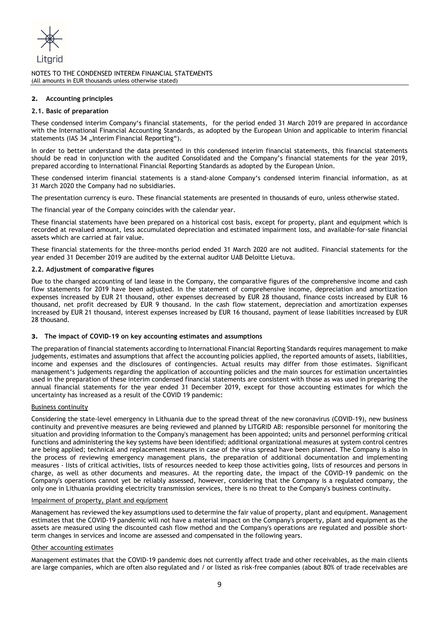

# 2. Accounting principles

#### 2.1. Basic of preparation

These condensed interim Company's financial statements, for the period ended 31 March 2019 are prepared in accordance with the International Financial Accounting Standards, as adopted by the European Union and applicable to interim financial statements (IAS 34 "Interim Financial Reporting").

In order to better understand the data presented in this condensed interim financial statements, this financial statements should be read in conjunction with the audited Consolidated and the Company's financial statements for the year 2019, prepared according to International Financial Reporting Standards as adopted by the European Union.

These condensed interim financial statements is a stand-alone Company's condensed interim financial information, as at 31 March 2020 the Company had no subsidiaries.

The presentation currency is euro. These financial statements are presented in thousands of euro, unless otherwise stated.

The financial year of the Company coincides with the calendar year.

These financial statements have been prepared on a historical cost basis, except for property, plant and equipment which is recorded at revalued amount, less accumulated depreciation and estimated impairment loss, and available-for-sale financial assets which are carried at fair value.

These financial statements for the three-months period ended 31 March 2020 are not audited. Financial statements for the year ended 31 December 2019 are audited by the external auditor UAB Deloitte Lietuva.

#### 2.2. Adjustment of comparative figures

Due to the changed accounting of land lease in the Company, the comparative figures of the comprehensive income and cash flow statements for 2019 have been adjusted. In the statement of comprehensive income, depreciation and amortization expenses increased by EUR 21 thousand, other expenses decreased by EUR 28 thousand, finance costs increased by EUR 16 thousand, net profit decreased by EUR 9 thousand. In the cash flow statement, depreciation and amortization expenses increased by EUR 21 thousand, interest expenses increased by EUR 16 thousand, payment of lease liabilities increased by EUR 28 thousand.

#### 3. The impact of COVID-19 on key accounting estimates and assumptions

The preparation of financial statements according to International Financial Reporting Standards requires management to make judgements, estimates and assumptions that affect the accounting policies applied, the reported amounts of assets, liabilities, income and expenses and the disclosures of contingencies. Actual results may differ from those estimates. Significant management's judgements regarding the application of accounting policies and the main sources for estimation uncertainties used in the preparation of these interim condensed financial statements are consistent with those as was used in preparing the annual financial statements for the year ended 31 December 2019, except for those accounting estimates for which the uncertainty has increased as a result of the COVID 19 pandemic:

# Business continuity

Considering the state-level emergency in Lithuania due to the spread threat of the new coronavirus (COVID-19), new business continuity and preventive measures are being reviewed and planned by LITGRID AB: responsible personnel for monitoring the situation and providing information to the Company's management has been appointed; units and personnel performing critical functions and administering the key systems have been identified; additional organizational measures at system control centres are being applied; technical and replacement measures in case of the virus spread have been planned. The Company is also in the process of reviewing emergency management plans, the preparation of additional documentation and implementing measures - lists of critical activities, lists of resources needed to keep those activities going, lists of resources and persons in charge, as well as other documents and measures. At the reporting date, the impact of the COVID-19 pandemic on the Company's operations cannot yet be reliably assessed, however, considering that the Company is a regulated company, the only one in Lithuania providing electricity transmission services, there is no threat to the Company's business continuity.

#### Impairment of property, plant and equipment

Management has reviewed the key assumptions used to determine the fair value of property, plant and equipment. Management estimates that the COVID-19 pandemic will not have a material impact on the Company's property, plant and equipment as the assets are measured using the discounted cash flow method and the Company's operations are regulated and possible shortterm changes in services and income are assessed and compensated in the following years.

#### Other accounting estimates

Management estimates that the COVID-19 pandemic does not currently affect trade and other receivables, as the main clients are large companies, which are often also regulated and / or listed as risk-free companies (about 80% of trade receivables are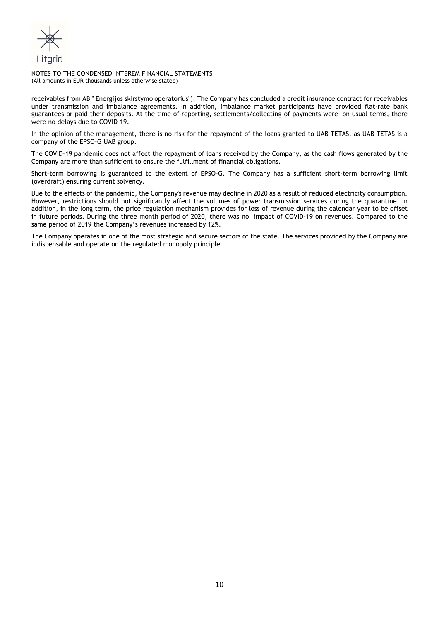

receivables from AB " Energijos skirstymo operatorius"). The Company has concluded a credit insurance contract for receivables under transmission and imbalance agreements. In addition, imbalance market participants have provided flat-rate bank guarantees or paid their deposits. At the time of reporting, settlements/collecting of payments were on usual terms, there were no delays due to COVID-19.

In the opinion of the management, there is no risk for the repayment of the loans granted to UAB TETAS, as UAB TETAS is a company of the EPSO-G UAB group.

The COVID-19 pandemic does not affect the repayment of loans received by the Company, as the cash flows generated by the Company are more than sufficient to ensure the fulfillment of financial obligations.

Short-term borrowing is guaranteed to the extent of EPSO-G. The Company has a sufficient short-term borrowing limit (overdraft) ensuring current solvency.

Due to the effects of the pandemic, the Company's revenue may decline in 2020 as a result of reduced electricity consumption. However, restrictions should not significantly affect the volumes of power transmission services during the quarantine. In addition, in the long term, the price regulation mechanism provides for loss of revenue during the calendar year to be offset in future periods. During the three month period of 2020, there was no impact of COVID-19 on revenues. Compared to the same period of 2019 the Company's revenues increased by 12%.

The Company operates in one of the most strategic and secure sectors of the state. The services provided by the Company are indispensable and operate on the regulated monopoly principle.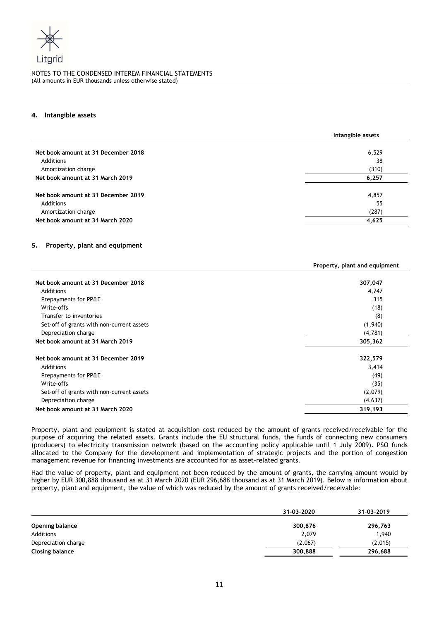

#### 4. Intangible assets

|                                     | Intangible assets |
|-------------------------------------|-------------------|
| Net book amount at 31 December 2018 |                   |
|                                     | 6,529             |
| Additions                           | 38                |
| Amortization charge                 | (310)             |
| Net book amount at 31 March 2019    | 6,257             |
|                                     |                   |
| Net book amount at 31 December 2019 | 4,857             |
| Additions                           | 55                |
| Amortization charge                 | (287)             |
| Net book amount at 31 March 2020    | 4,625             |

# 5. Property, plant and equipment

|                                           | Property, plant and equipment |
|-------------------------------------------|-------------------------------|
|                                           |                               |
| Net book amount at 31 December 2018       | 307,047                       |
| Additions                                 | 4,747                         |
| Prepayments for PP&E                      | 315                           |
| Write-offs                                | (18)                          |
| Transfer to inventories                   | (8)                           |
| Set-off of grants with non-current assets | (1,940)                       |
| Depreciation charge                       | (4,781)                       |
| Net book amount at 31 March 2019          | 305,362                       |
| Net book amount at 31 December 2019       | 322,579                       |
| Additions                                 | 3,414                         |
| Prepayments for PP&E                      | (49)                          |
| Write-offs                                | (35)                          |
| Set-off of grants with non-current assets | (2,079)                       |
| Depreciation charge                       | (4,637)                       |
| Net book amount at 31 March 2020          | 319,193                       |

Property, plant and equipment is stated at acquisition cost reduced by the amount of grants received/receivable for the purpose of acquiring the related assets. Grants include the EU structural funds, the funds of connecting new consumers (producers) to electricity transmission network (based on the accounting policy applicable until 1 July 2009). PSO funds allocated to the Company for the development and implementation of strategic projects and the portion of congestion management revenue for financing investments are accounted for as asset-related grants.

Had the value of property, plant and equipment not been reduced by the amount of grants, the carrying amount would by higher by EUR 300,888 thousand as at 31 March 2020 (EUR 296,688 thousand as at 31 March 2019). Below is information about property, plant and equipment, the value of which was reduced by the amount of grants received/receivable:

|                        | 31-03-2020 | 31-03-2019 |
|------------------------|------------|------------|
| <b>Opening balance</b> | 300,876    | 296,763    |
| Additions              | 2,079      | 1,940      |
| Depreciation charge    | (2,067)    | (2,015)    |
| Closing balance        | 300,888    | 296.688    |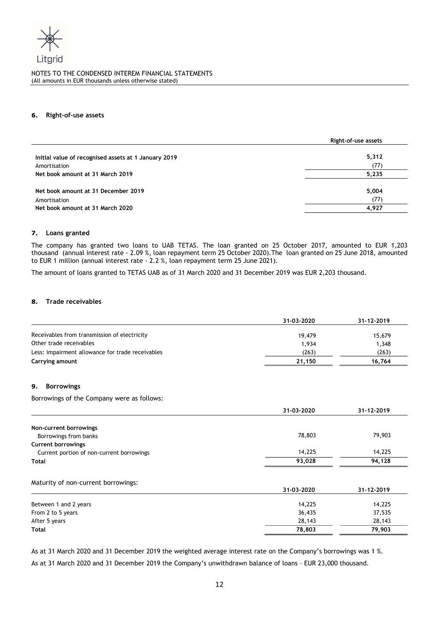

#### 6. Right-of-use assets

|                                                      | Right-of-use assets |
|------------------------------------------------------|---------------------|
| Initial value of recognised assets at 1 January 2019 | 5,312               |
| Amortisation                                         | (77)                |
| Net book amount at 31 March 2019                     | 5,235               |
| Net book amount at 31 December 2019                  | 5,004               |
| Amortisation                                         | (77)                |
| Net book amount at 31 March 2020                     | 4,927               |

#### 7. Loans granted

The company has granted two loans to UAB TETAS. The loan granted on 25 October 2017, amounted to EUR 1,203 thousand (annual interest rate - 2.09 %, loan repayment term 25 October 2020).The loan granted on 25 June 2018, amounted to EUR 1 million (annual interest rate - 2.2 %, loan repayment term 25 June 2021).

The amount of loans granted to TETAS UAB as of 31 March 2020 and 31 December 2019 was EUR 2,203 thousand.

# 8. Trade receivables

|                                                  | 31-03-2020 | 31-12-2019 |
|--------------------------------------------------|------------|------------|
| Receivables from transmission of electricity     | 19,479     | 15,679     |
| Other trade receivables                          | 1,934      | 1,348      |
| Less: impairment allowance for trade receivables | (263)      | (263)      |
| Carrying amount                                  | 21,150     | 16,764     |
| <b>Borrowings</b><br>9.                          |            |            |
| Borrowings of the Company were as follows:       |            |            |
|                                                  | 31-03-2020 | 31-12-2019 |
| Non-current borrowings                           |            |            |
| Borrowings from banks                            | 78,803     | 79,903     |
| <b>Current borrowings</b>                        |            |            |
| Current portion of non-current borrowings        | 14,225     | 14,225     |
| <b>Total</b>                                     | 93,028     | 94,128     |
| Maturity of non-current borrowings:              |            |            |
|                                                  | 31-03-2020 | 31-12-2019 |
| Between 1 and 2 years                            | 14,225     | 14,225     |
| From 2 to 5 years                                | 36,435     | 37,535     |
| After 5 years                                    | 28,143     | 28,143     |
| <b>Total</b>                                     | 78,803     | 79,903     |
|                                                  |            |            |

As at 31 March 2020 and 31 December 2019 the weighted average interest rate on the Company's borrowings was 1 %.

As at 31 March 2020 and 31 December 2019 the Company's unwithdrawn balance of loans – EUR 23,000 thousand.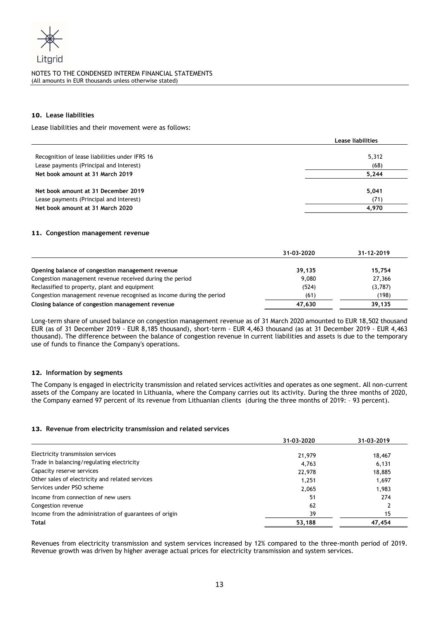

# 10. Lease liabilities

Lease liabilities and their movement were as follows:

|                                                | Lease liabilities |  |
|------------------------------------------------|-------------------|--|
|                                                |                   |  |
| Recognition of lease liabilities under IFRS 16 | 5,312             |  |
| Lease payments (Principal and Interest)        | (68)              |  |
| Net book amount at 31 March 2019               | 5.244             |  |
|                                                |                   |  |
| Net book amount at 31 December 2019            | 5,041             |  |
| Lease payments (Principal and Interest)        | (71)              |  |
| Net book amount at 31 March 2020               | 4,970             |  |

#### 11. Congestion management revenue

|                                                                      | 31-03-2020 | 31-12-2019 |
|----------------------------------------------------------------------|------------|------------|
| Opening balance of congestion management revenue                     | 39,135     | 15,754     |
| Congestion management revenue received during the period             | 9,080      | 27,366     |
| Reclassified to property, plant and equipment                        | (524)      | (3,787)    |
| Congestion management revenue recognised as income during the period | (61)       | (198)      |
| Closing balance of congestion management revenue                     | 47.630     | 39,135     |

Long-term share of unused balance on congestion management revenue as of 31 March 2020 amounted to EUR 18,502 thousand EUR (as of 31 December 2019 - EUR 8,185 thousand), short-term - EUR 4,463 thousand (as at 31 December 2019 - EUR 4,463 thousand). The difference between the balance of congestion revenue in current liabilities and assets is due to the temporary use of funds to finance the Company's operations.

#### 12. Information by segments

The Company is engaged in electricity transmission and related services activities and operates as one segment. All non-current assets of the Company are located in Lithuania, where the Company carries out its activity. During the three months of 2020, the Company earned 97 percent of its revenue from Lithuanian clients (during the three months of 2019: – 93 percent).

#### 13. Revenue from electricity transmission and related services

|                                                        | 31-03-2020 | 31-03-2019 |
|--------------------------------------------------------|------------|------------|
| Electricity transmission services                      | 21,979     | 18,467     |
| Trade in balancing/regulating electricity              | 4.763      | 6,131      |
| Capacity reserve services                              | 22,978     | 18,885     |
| Other sales of electricity and related services        | 1.251      | 1,697      |
| Services under PSO scheme                              | 2,065      | 1,983      |
| Income from connection of new users                    | 51         | 274        |
| Congestion revenue                                     | 62         |            |
| Income from the administration of guarantees of origin | 39         | 15         |
| Total                                                  | 53,188     | 47,454     |

Revenues from electricity transmission and system services increased by 12% compared to the three-month period of 2019. Revenue growth was driven by higher average actual prices for electricity transmission and system services.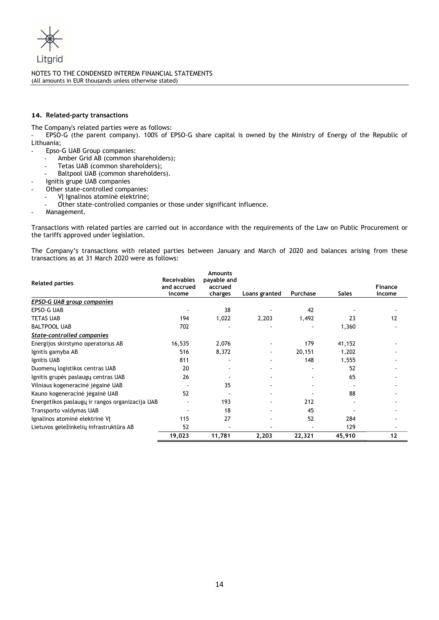

# 14. Related-party transactions

The Company's related parties were as follows:

- EPSO-G (the parent company). 100% of EPSO-G share capital is owned by the Ministry of Energy of the Republic of Lithuania;

- Epso-G UAB Group companies:
	- Amber Grid AB (common shareholders);
	- Tetas UAB (common shareholders);
	- Baltpool UAB (common shareholders).
- Ignitis grupė UAB companies
- Other state-controlled companies:
	- VĮ Ignalinos atominė elektrinė;
- Other state-controlled companies or those under significant influence.
- Management.

Transactions with related parties are carried out in accordance with the requirements of the Law on Public Procurement or the tariffs approved under legislation.

The Company's transactions with related parties between January and March of 2020 and balances arising from these transactions as at 31 March 2020 were as follows:

| <b>Related parties</b>                          | <b>Receivables</b><br>and accrued | <b>Amounts</b><br>payable and<br>accrued |               |          |              | Finance |
|-------------------------------------------------|-----------------------------------|------------------------------------------|---------------|----------|--------------|---------|
|                                                 | income                            | charges                                  | Loans granted | Purchase | <b>Sales</b> | income  |
| <b>EPSO-G UAB group companies</b>               |                                   |                                          |               |          |              |         |
| EPSO-G UAB                                      |                                   | 38                                       |               | 42       |              |         |
| <b>TETAS UAB</b>                                | 194                               | 1,022                                    | 2,203         | 1,492    | 23           | 12      |
| <b>BALTPOOL UAB</b>                             | 702                               |                                          |               |          | 1,360        |         |
| State-controlled companies                      |                                   |                                          |               |          |              |         |
| Energijos skirstymo operatorius AB              | 16,535                            | 2,076                                    |               | 179      | 41,152       |         |
| Ignitis gamyba AB                               | 516                               | 8,372                                    |               | 20,151   | 1,202        |         |
| Ignitis UAB                                     | 811                               |                                          |               | 148      | 1,555        |         |
| Duomenų logistikos centras UAB                  | 20                                |                                          |               |          | 52           |         |
| Ignitis grupės paslaugų centras UAB             | 26                                |                                          |               |          | 65           |         |
| Vilniaus kogeneracinė jėgainė UAB               |                                   | 35                                       |               |          |              |         |
| Kauno kogeneracinė jėgainė UAB                  | 52                                |                                          |               |          | 88           |         |
| Energetikos paslaugų ir rangos organizacija UAB |                                   | 193                                      |               | 212      |              |         |
| Transporto valdymas UAB                         |                                   | 18                                       |               | 45       |              |         |
| Ignalinos atominė elektrinė VJ                  | 115                               | 27                                       |               | 52       | 284          |         |
| Lietuvos geležinkelių infrastruktūra AB         | 52                                |                                          |               |          | 129          |         |
|                                                 | 19,023                            | 11,781                                   | 2,203         | 22,321   | 45,910       | 12      |